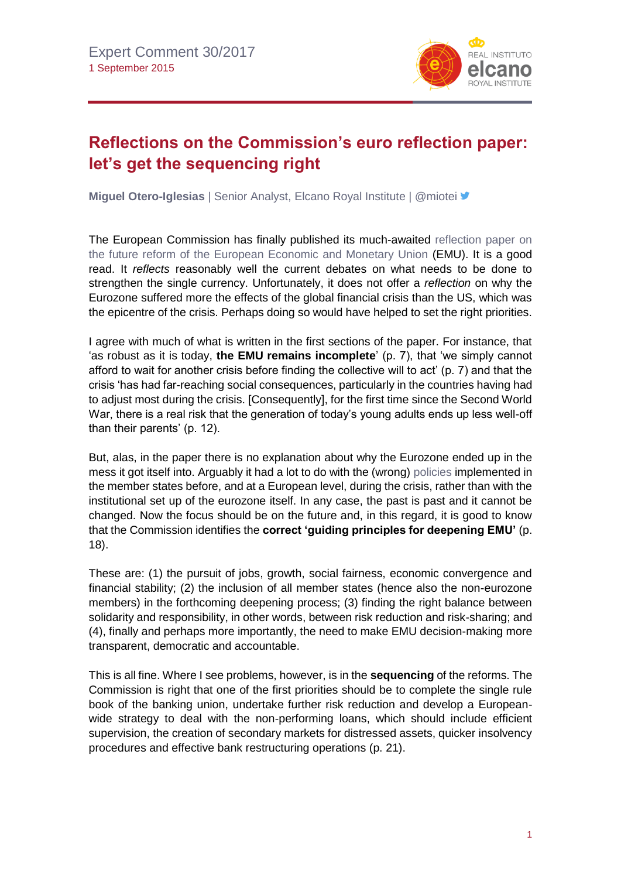

## **Reflections on the Commission's euro reflection paper: let's get the sequencing right**

**Miguel Otero-Iglesias** | Senior Analyst, Elcano Royal Institute | @miotei

The European Commission has finally published its much-awaited [reflection paper on](https://ec.europa.eu/commission/publications/reflection-paper-deepening-economic-and-monetary-union_en)  the future reform [of the European Economic and Monetary Union](https://ec.europa.eu/commission/publications/reflection-paper-deepening-economic-and-monetary-union_en) (EMU). It is a good read. It *reflects* reasonably well the current debates on what needs to be done to strengthen the single currency. Unfortunately, it does not offer a *reflection* on why the Eurozone suffered more the effects of the global financial crisis than the US, which was the epicentre of the crisis. Perhaps doing so would have helped to set the right priorities.

I agree with much of what is written in the first sections of the paper. For instance, that 'as robust as it is today, **the EMU remains incomplete**' (p. 7), that 'we simply cannot afford to wait for another crisis before finding the collective will to act' (p. 7) and that the crisis 'has had far-reaching social consequences, particularly in the countries having had to adjust most during the crisis. [Consequently], for the first time since the Second World War, there is a real risk that the generation of today's young adults ends up less well-off than their parents' (p. 12).

But, alas, in the paper there is no explanation about why the Eurozone ended up in the mess it got itself into. Arguably it had a lot to do with the (wrong) [policies](http://www.telegraph.co.uk/business/2016/03/21/what-europe-needs-is-not-an-end-to-the-euro-but-better-leadershi/) implemented in the member states before, and at a European level, during the crisis, rather than with the institutional set up of the eurozone itself. In any case, the past is past and it cannot be changed. Now the focus should be on the future and, in this regard, it is good to know that the Commission identifies the **correct 'guiding principles for deepening EMU'** (p. 18).

These are: (1) the pursuit of jobs, growth, social fairness, economic convergence and financial stability; (2) the inclusion of all member states (hence also the non-eurozone members) in the forthcoming deepening process; (3) finding the right balance between solidarity and responsibility, in other words, between risk reduction and risk-sharing; and (4), finally and perhaps more importantly, the need to make EMU decision-making more transparent, democratic and accountable.

This is all fine. Where I see problems, however, is in the **sequencing** of the reforms. The Commission is right that one of the first priorities should be to complete the single rule book of the banking union, undertake further risk reduction and develop a Europeanwide strategy to deal with the non-performing loans, which should include efficient supervision, the creation of secondary markets for distressed assets, quicker insolvency procedures and effective bank restructuring operations (p. 21).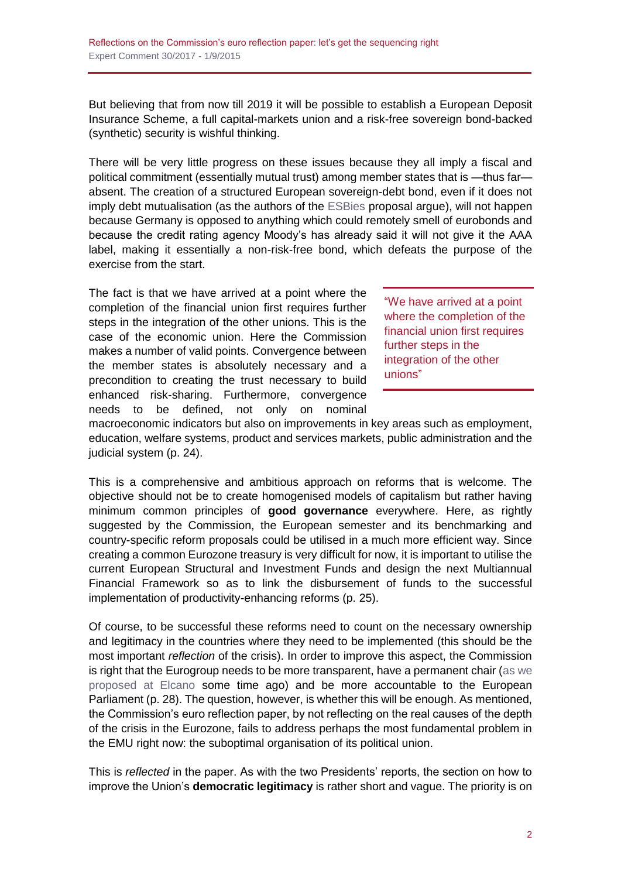But believing that from now till 2019 it will be possible to establish a European Deposit Insurance Scheme, a full capital-markets union and a risk-free sovereign bond-backed (synthetic) security is wishful thinking.

There will be very little progress on these issues because they all imply a fiscal and political commitment (essentially mutual trust) among member states that is —thus far absent. The creation of a structured European sovereign-debt bond, even if it does not imply debt mutualisation (as the authors of the [ESBies](https://www.esrb.europa.eu/pub/pdf/wp/esrbwp21.en.pdf) proposal argue), will not happen because Germany is opposed to anything which could remotely smell of eurobonds and because the credit rating agency Moody's has already said it will not give it the AAA label, making it essentially a non-risk-free bond, which defeats the purpose of the exercise from the start.

The fact is that we have arrived at a point where the completion of the financial union first requires further steps in the integration of the other unions. This is the case of the economic union. Here the Commission makes a number of valid points. Convergence between the member states is absolutely necessary and a precondition to creating the trust necessary to build enhanced risk-sharing. Furthermore, convergence needs to be defined, not only on nominal

"We have arrived at a point where the completion of the financial union first requires further steps in the integration of the other unions"

macroeconomic indicators but also on improvements in key areas such as employment, education, welfare systems, product and services markets, public administration and the judicial system (p. 24).

This is a comprehensive and ambitious approach on reforms that is welcome. The objective should not be to create homogenised models of capitalism but rather having minimum common principles of **good governance** everywhere. Here, as rightly suggested by the Commission, the European semester and its benchmarking and country-specific reform proposals could be utilised in a much more efficient way. Since creating a common Eurozone treasury is very difficult for now, it is important to utilise the current European Structural and Investment Funds and design the next Multiannual Financial Framework so as to link the disbursement of funds to the successful implementation of productivity-enhancing reforms (p. 25).

Of course, to be successful these reforms need to count on the necessary ownership and legitimacy in the countries where they need to be implemented (this should be the most important *reflection* of the crisis). In order to improve this aspect, the Commission is right that the Eurogroup needs to be more transparent, have a permanent chair [\(as we](http://www.realinstitutoelcano.org/wps/portal/rielcano_en/contenido?WCM_GLOBAL_CONTEXT=/elcano/elcano_in/zonas_in/international+economy/pickford-steinberg-oteroiglesias-how-to-fix-the-euro)  [proposed at Elcano](http://www.realinstitutoelcano.org/wps/portal/rielcano_en/contenido?WCM_GLOBAL_CONTEXT=/elcano/elcano_in/zonas_in/international+economy/pickford-steinberg-oteroiglesias-how-to-fix-the-euro) some time ago) and be more accountable to the European Parliament (p. 28). The question, however, is whether this will be enough. As mentioned, the Commission's euro reflection paper, by not reflecting on the real causes of the depth of the crisis in the Eurozone, fails to address perhaps the most fundamental problem in the EMU right now: the suboptimal organisation of its political union.

This is *reflected* in the paper. As with the two Presidents' reports, the section on how to improve the Union's **democratic legitimacy** is rather short and vague. The priority is on